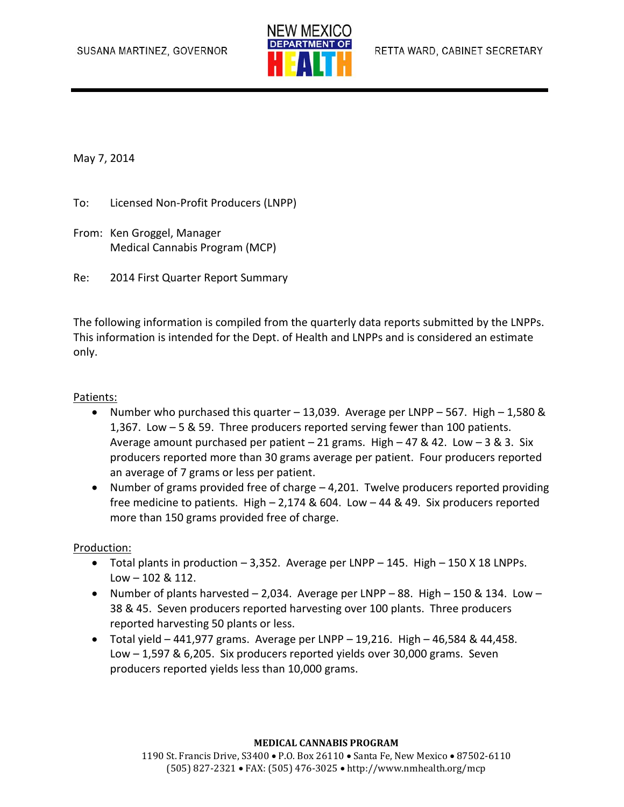

May 7, 2014

- To: Licensed Non-Profit Producers (LNPP)
- From: Ken Groggel, Manager Medical Cannabis Program (MCP)
- Re: 2014 First Quarter Report Summary

The following information is compiled from the quarterly data reports submitted by the LNPPs. This information is intended for the Dept. of Health and LNPPs and is considered an estimate only.

#### Patients:

- Number who purchased this quarter  $-13,039$ . Average per LNPP 567. High 1,580 & 1,367. Low – 5 & 59. Three producers reported serving fewer than 100 patients. Average amount purchased per patient  $-21$  grams. High  $-47$  & 42. Low  $-3$  & 3. Six producers reported more than 30 grams average per patient. Four producers reported an average of 7 grams or less per patient.
- Number of grams provided free of charge 4,201. Twelve producers reported providing free medicine to patients. High – 2,174 & 604. Low – 44 & 49. Six producers reported more than 150 grams provided free of charge.

#### Production:

- $\bullet$  Total plants in production  $-3,352$ . Average per LNPP  $-145$ . High  $-150$  X 18 LNPPs.  $Low - 102 & 112.$
- Number of plants harvested  $-2,034$ . Average per LNPP  $-88$ . High  $-150$  & 134. Low  $-$ 38 & 45. Seven producers reported harvesting over 100 plants. Three producers reported harvesting 50 plants or less.
- $\bullet$  Total yield 441,977 grams. Average per LNPP 19,216. High 46,584 & 44,458. Low – 1,597 & 6,205. Six producers reported yields over 30,000 grams. Seven producers reported yields less than 10,000 grams.